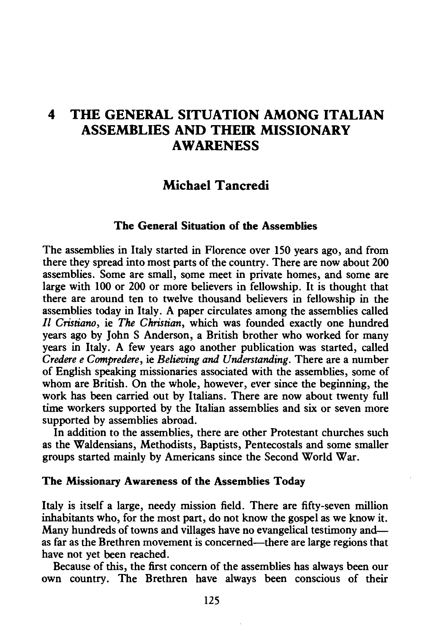# **4 THE GENERAL SITUATION AMONG ITALIAN ASSEMBLIES AND THEIR MISSIONARY AWARENESS**

## **Michael Tancredi**

### **The General Situation of the Assemblies**

The assemblies in Italy started in Florence over ISO years ago, and from there they spread into most parts of the country. There are now about 200 assemblies. Some are small, some meet in private homes, and some are large with 100 or 200 or more believers in fellowship. It is thought that there are around ten to twelve thousand believers in fellowship in the assemblies today in Italy. A paper circulates among the assemblies called *Il Cristiano,* ie *The Christian,* which was founded exactly one hundred years ago by John S Anderson, a British brother who worked for many years in Italy. A few years ago another publication was started, called *Credere e Compredere,* ie *Believing and Understanding.* There are a number of English speaking missionaries associated with the assemblies, some of whom are British. On the whole, however, ever since the beginning, the work has been carried out by Italians. There are now about twenty full time workers supported by the Italian assemblies and six or seven more supported by assemblies abroad.

In addition to the assemblies, there are other Protestant churches such as the Waldensians, Methodists, Baptists, Pentecostals and some smaller groups started mainly by Americans since the Second World War.

#### **The Missionary Awareness of the Assemblies Today**

Italy is itself a large, needy mission field. There are fifty-seven million inhabitants who, for the most part, do not know the gospel as we know it. Many hundreds of towns and villages have no evangelical testimony and as far as the Brethren movement is concerned-there are large regions that have not yet been reached.

Because of this, the first concern of the assemblies has always been our own country. The Brethren have always been conscious of their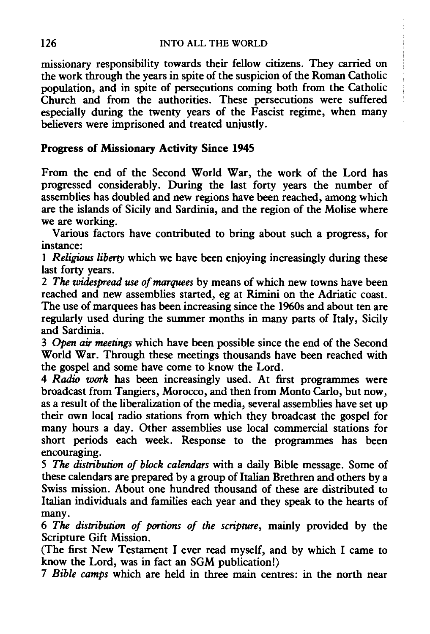missionary responsibility towards their fellow citizens. They carried on the work through the years in spite of the suspicion of the Roman Catholic population, and in spite of persecutions coming both from the Catholic Church and from the authorities. These persecutions were suffered especially during the twenty years of the Fascist regime, when many believers were imprisoned and treated unjustly.

## Progress of Missionary Activity Since 1945

From the end of the Second World War, the work of the Lord has progressed considerably. During the last forty years the number of assemblies has doubled and new regions have been reached, among which are the islands of Sicily and Sardinia, and the region of the Molise where we are working.

Various factors have contributed to bring about such a progress, for instance:

1 *Religious liberty* which we have been enjoying increasingly during these last forty years.

2 *The widespread use of marquees* by means of which new towns have been reached and new assemblies started, eg at Rimini on the Adriatic coast. The use of marquees has been increasing since the 1960s and about ten are regularly used during the summer months in many parts of Italy, Sicily and Sardinia.

3 *Open air meetings* which have been possible since the end of the Second World War. Through these meetings thousands have been reached with the gospel and some have come to know the Lord.

4 *Radio work* has been increasingly used. At first programmes were broadcast from Tangiers, Morocco, and then from Monto Carlo, but now, as a result of the liberalization of the media, several assemblies have set up their own local radio stations from which they broadcast the gospel for many hours a day. Other assemblies use local commercial stations for short periods each week. Response to the programmes has been encouraging.

5 *The distribution of block calendars* with a daily Bible message. Some of these calendars are prepared by a group of Italian Brethren and others by a Swiss mission. About one hundred thousand of these are distributed to Italian individuals and families each year and they speak to the hearts of many.

6 *The distribution of portions of the scripture,* mainly provided by the Scripture Gift Mission.

(The first New Testament I ever read myself, and by which I came to know the Lord, was in fact an SGM publication!)

7 *Bible camps* which are held in three main centres: in the north near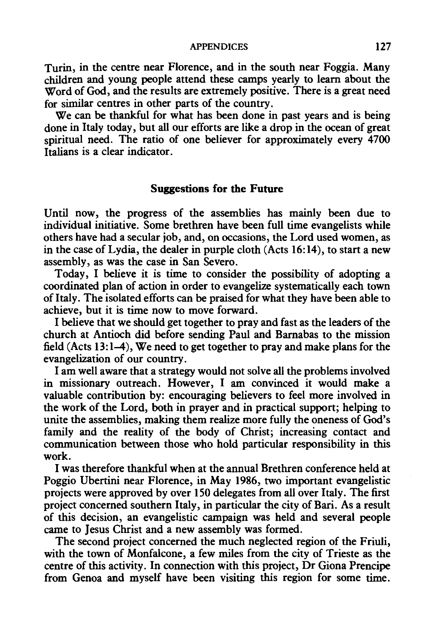#### APPENDICES 127

Turin, in the centre near Florence, and in the south near Foggia. Many children and young people attend these camps yearly to learn about the Word of God, and the results are extremely positive. There is a great need for similar centres in other parts of the country.

We can be thankful for what has been done in past years and is being done in Italy today, but all our efforts are like a drop in the ocean of great spiritual need. The ratio of one believer for approximately every 4700 Italians is a clear indicator.

#### Suggestions for the Future

Until now, the progress of the assemblies has mainly been due to individual initiative. Some brethren have been full time evangelists while others have had a secular job, and, on occasions, the Lord used women, as in the case of Lydia, the dealer in purple cloth (Acts 16: 14), to start a new assembly, as was the case in San Severo.

Today, I believe it is time to consider the possibility of adopting a coordinated plan of action in order to evangelize systematically each town of Italy. The isolated efforts can be praised for what they have been able to achieve, but it is time now to move forward.

I believe that we should get together to pray and fast as the leaders of the church at Antioch did before sending Paul and Barnabas to the mission field (Acts 13: 1-4), We need to get together to pray and make plans for the evangelization of our country.

I am well aware that a strategy would not solve all the problems involved in missionary outreach. However, I am convinced it would make a valuable contribution by: encouraging believers to feel more involved in the work of the Lord, both in prayer and in practical support; helping to unite the assemblies, making them realize more fully the oneness of God's family and the reality of the body of Christ; increasing contact and communication between those who hold particular responsibility in this work.

I was therefore thankful when at the annual Brethren conference held at Poggio Ubertini near Florence, in May 1986, two important evangelistic projects were approved by over 150 delegates from all over Italy. The first project concerned southern Italy, in particular the city of Bari. As a result of this decision, an evangelistic campaign was held and several people came to Jesus Christ and a new assembly was formed.

The second project concerned the much neglected region of the Friuli, with the town of Monfalcone, a few miles from the city of Trieste as the centre of this activity. In connection with this project, Dr Giona Prencipe from Genoa and myself have been visiting this region for some time.